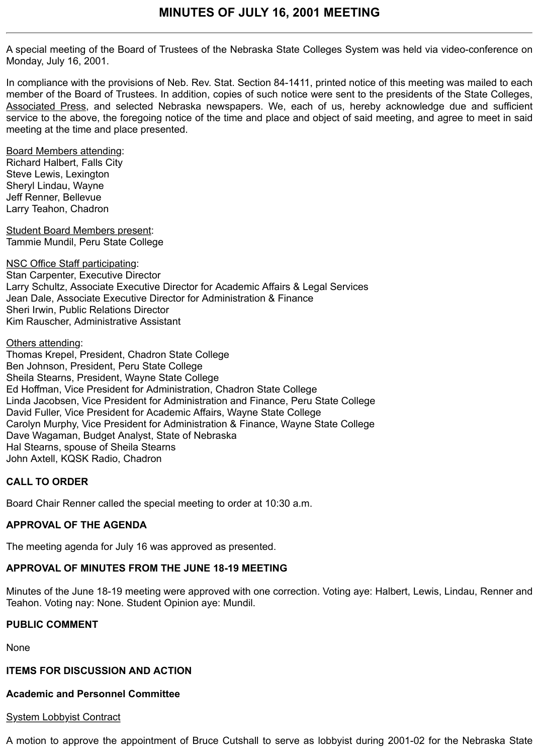A special meeting of the Board of Trustees of the Nebraska State Colleges System was held via video-conference on Monday, July 16, 2001.

In compliance with the provisions of Neb. Rev. Stat. Section 84-1411, printed notice of this meeting was mailed to each member of the Board of Trustees. In addition, copies of such notice were sent to the presidents of the State Colleges, Associated Press, and selected Nebraska newspapers. We, each of us, hereby acknowledge due and sufficient service to the above, the foregoing notice of the time and place and object of said meeting, and agree to meet in said meeting at the time and place presented.

Board Members attending: Richard Halbert, Falls City Steve Lewis, Lexington Sheryl Lindau, Wayne Jeff Renner, Bellevue Larry Teahon, Chadron

Student Board Members present: Tammie Mundil, Peru State College

NSC Office Staff participating: Stan Carpenter, Executive Director Larry Schultz, Associate Executive Director for Academic Affairs & Legal Services Jean Dale, Associate Executive Director for Administration & Finance Sheri Irwin, Public Relations Director Kim Rauscher, Administrative Assistant

#### Others attending:

Thomas Krepel, President, Chadron State College Ben Johnson, President, Peru State College Sheila Stearns, President, Wayne State College Ed Hoffman, Vice President for Administration, Chadron State College Linda Jacobsen, Vice President for Administration and Finance, Peru State College David Fuller, Vice President for Academic Affairs, Wayne State College Carolyn Murphy, Vice President for Administration & Finance, Wayne State College Dave Wagaman, Budget Analyst, State of Nebraska Hal Stearns, spouse of Sheila Stearns John Axtell, KQSK Radio, Chadron

### **CALL TO ORDER**

Board Chair Renner called the special meeting to order at 10:30 a.m.

### **APPROVAL OF THE AGENDA**

The meeting agenda for July 16 was approved as presented.

## **APPROVAL OF MINUTES FROM THE JUNE 18-19 MEETING**

Minutes of the June 18-19 meeting were approved with one correction. Voting aye: Halbert, Lewis, Lindau, Renner and Teahon. Voting nay: None. Student Opinion aye: Mundil.

## **PUBLIC COMMENT**

None

## **ITEMS FOR DISCUSSION AND ACTION**

# **Academic and Personnel Committee**

# **System Lobbyist Contract**

A motion to approve the appointment of Bruce Cutshall to serve as lobbyist during 2001-02 for the Nebraska State